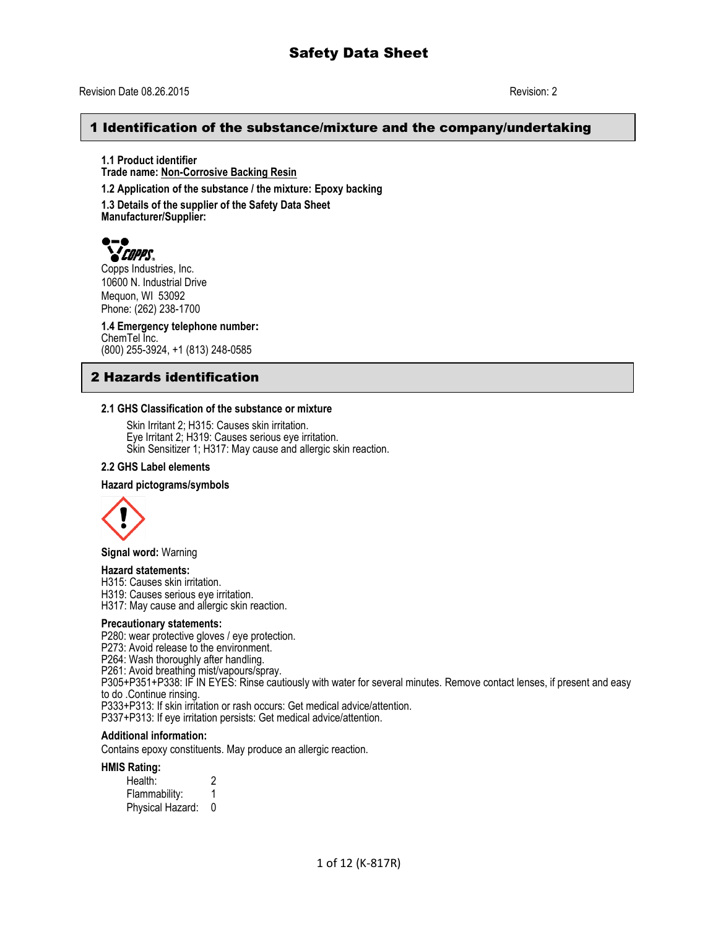## Revision Date 08.26.2015 Revision: 2

# 1 Identification of the substance/mixture and the company/undertaking

**1.1 Product identifier Trade name: Non-Corrosive Backing Resin 1.2 Application of the substance / the mixture: Epoxy backing**

**1.3 Details of the supplier of the Safety Data Sheet Manufacturer/Supplier:**



Copps Industries, Inc. 10600 N. Industrial Drive Mequon, WI 53092 Phone: (262) 238-1700

**1.4 Emergency telephone number:** ChemTel Inc. (800) 255-3924, +1 (813) 248-0585

# 2 Hazards identification

#### **2.1 GHS Classification of the substance or mixture**

Skin Irritant 2; H315: Causes skin irritation. Eye Irritant 2; H319: Causes serious eye irritation. Skin Sensitizer 1; H317: May cause and allergic skin reaction.

#### **2.2 GHS Label elements**

#### **Hazard pictograms/symbols**



**Signal word:** Warning

#### **Hazard statements:**

H315: Causes skin irritation.

H319: Causes serious eye irritation.

H317: May cause and allergic skin reaction.

#### **Precautionary statements:**

P280: wear protective gloves / eye protection.

P273: Avoid release to the environment.

P264: Wash thoroughly after handling.

P261: Avoid breathing mist/vapours/spray.

P305+P351+P338: IF IN EYES: Rinse cautiously with water for several minutes. Remove contact lenses, if present and easy to do .Continue rinsing.

P333+P313: If skin irritation or rash occurs: Get medical advice/attention.

P337+P313: If eye irritation persists: Get medical advice/attention.

## **Additional information:**

Contains epoxy constituents. May produce an allergic reaction.

#### **HMIS Rating:**

| .<br>Health:     | 2 |
|------------------|---|
| Flammability:    |   |
| Physical Hazard: | 0 |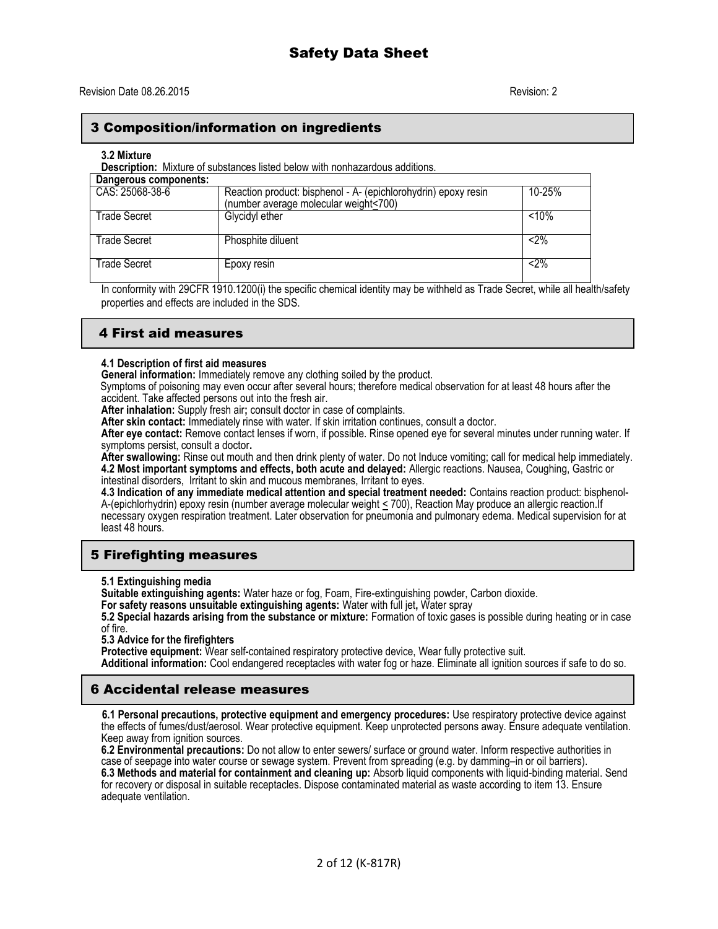# 3 Composition/information on ingredients

#### **3.2 Mixture**

**Description:** Mixture of substances listed below with nonhazardous additions.

| Dangerous components: |                                                                                                         |         |
|-----------------------|---------------------------------------------------------------------------------------------------------|---------|
| CAS: 25068-38-6       | Reaction product: bisphenol - A- (epichlorohydrin) epoxy resin<br>(number average molecular weight<700) | 10-25%  |
| Trade Secret          | Glycidyl ether                                                                                          | < 10%   |
| <b>Trade Secret</b>   | Phosphite diluent                                                                                       | $< 2\%$ |
| Trade Secret          | Epoxy resin                                                                                             | $2\%$   |

In conformity with 29CFR 1910.1200(i) the specific chemical identity may be withheld as Trade Secret, while all health/safety properties and effects are included in the SDS.

# 4 First aid measures

## **4.1 Description of first aid measures**

**General information:** Immediately remove any clothing soiled by the product.

Symptoms of poisoning may even occur after several hours; therefore medical observation for at least 48 hours after the accident. Take affected persons out into the fresh air.

**After inhalation:** Supply fresh air**;** consult doctor in case of complaints.

**After skin contact:** Immediately rinse with water. If skin irritation continues, consult a doctor.

**After eye contact:** Remove contact lenses if worn, if possible. Rinse opened eye for several minutes under running water. If symptoms persist, consult a doctor**.**

**After swallowing:** Rinse out mouth and then drink plenty of water. Do not Induce vomiting; call for medical help immediately. **4.2 Most important symptoms and effects, both acute and delayed:** Allergic reactions. Nausea, Coughing, Gastric or

intestinal disorders, Irritant to skin and mucous membranes, Irritant to eyes.

**4.3 Indication of any immediate medical attention and special treatment needed:** Contains reaction product: bisphenol-A-(epichlorhydrin) epoxy resin (number average molecular weight < 700), Reaction May produce an allergic reaction.If necessary oxygen respiration treatment. Later observation for pneumonia and pulmonary edema. Medical supervision for at least 48 hours.

# 5 Firefighting measures

**5.1 Extinguishing media**

**Suitable extinguishing agents:** Water haze or fog, Foam, Fire-extinguishing powder, Carbon dioxide.

**For safety reasons unsuitable extinguishing agents:** Water with full jet**,** Water spray

**5.2 Special hazards arising from the substance or mixture:** Formation of toxic gases is possible during heating or in case of fire.

**5.3 Advice for the firefighters**

Protective equipment: Wear self-contained respiratory protective device, Wear fully protective suit.

**Additional information:** Cool endangered receptacles with water fog or haze. Eliminate all ignition sources if safe to do so.

# 6 Accidental release measures

 **6.1 Personal precautions, protective equipment and emergency procedures:** Use respiratory protective device against the effects of fumes/dust/aerosol. Wear protective equipment. Keep unprotected persons away. Ensure adequate ventilation. Keep away from ignition sources.

**6.2 Environmental precautions:** Do not allow to enter sewers/ surface or ground water. Inform respective authorities in case of seepage into water course or sewage system. Prevent from spreading (e.g. by damming–in or oil barriers). **6.3 Methods and material for containment and cleaning up:** Absorb liquid components with liquid-binding material. Send for recovery or disposal in suitable receptacles. Dispose contaminated material as waste according to item 13. Ensure adequate ventilation.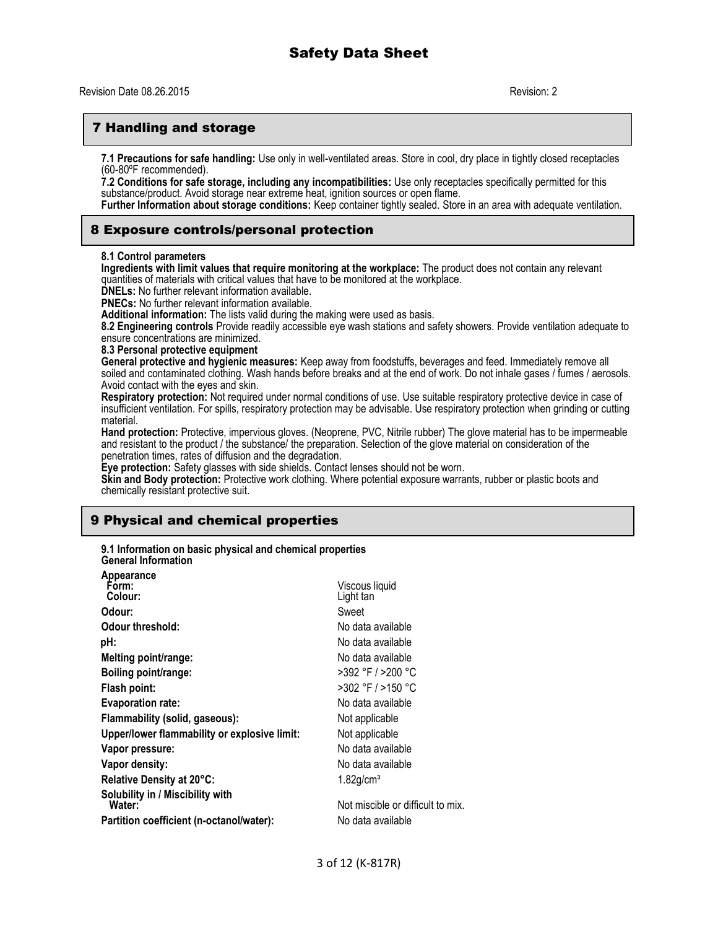# 7 Handling and storage

**7.1 Precautions for safe handling:** Use only in well-ventilated areas. Store in cool, dry place in tightly closed receptacles (60-80ºF recommended).

**7.2 Conditions for safe storage, including any incompatibilities:** Use only receptacles specifically permitted for this substance/product. Avoid storage near extreme heat, ignition sources or open flame.

**Further Information about storage conditions:** Keep container tightly sealed. Store in an area with adequate ventilation.

### 8 Exposure controls/personal protection

#### **8.1 Control parameters**

**Ingredients with limit values that require monitoring at the workplace:** The product does not contain any relevant quantities of materials with critical values that have to be monitored at the workplace.

**DNELs:** No further relevant information available.

**PNECs:** No further relevant information available.

**Additional information:** The lists valid during the making were used as basis.

**8.2 Engineering controls** Provide readily accessible eye wash stations and safety showers. Provide ventilation adequate to ensure concentrations are minimized.

**8.3 Personal protective equipment**

**General protective and hygienic measures:** Keep away from foodstuffs, beverages and feed. Immediately remove all soiled and contaminated clothing. Wash hands before breaks and at the end of work. Do not inhale gases / fumes / aerosols. Avoid contact with the eyes and skin.

**Respiratory protection:** Not required under normal conditions of use. Use suitable respiratory protective device in case of insufficient ventilation. For spills, respiratory protection may be advisable. Use respiratory protection when grinding or cutting material.

**Hand protection:** Protective, impervious gloves. (Neoprene, PVC, Nitrile rubber) The glove material has to be impermeable and resistant to the product / the substance/ the preparation. Selection of the glove material on consideration of the penetration times, rates of diffusion and the degradation.

**Eye protection:** Safety glasses with side shields. Contact lenses should not be worn.

**Skin and Body protection:** Protective work clothing. Where potential exposure warrants, rubber or plastic boots and chemically resistant protective suit.

# 9 Physical and chemical properties

**9.1 Information on basic physical and chemical properties General Information**

| Appearance                                   |                                   |
|----------------------------------------------|-----------------------------------|
| Form:                                        | Viscous liquid                    |
| Colour:                                      | Light tan                         |
| Odour:                                       | Sweet                             |
| Odour threshold:                             | No data available                 |
| pH:                                          | No data available                 |
| Melting point/range:                         | No data available                 |
| Boiling point/range:                         | >392 °F / >200 °C                 |
| Flash point:                                 | >302 °F / >150 °C                 |
| <b>Evaporation rate:</b>                     | No data available                 |
| Flammability (solid, gaseous):               | Not applicable                    |
| Upper/lower flammability or explosive limit: | Not applicable                    |
| Vapor pressure:                              | No data available                 |
| Vapor density:                               | No data available                 |
| Relative Density at 20°C:                    | $1.82$ g/cm <sup>3</sup>          |
| Solubility in / Miscibility with<br>Water:   | Not miscible or difficult to mix. |
| Partition coefficient (n-octanol/water):     | No data available                 |
|                                              |                                   |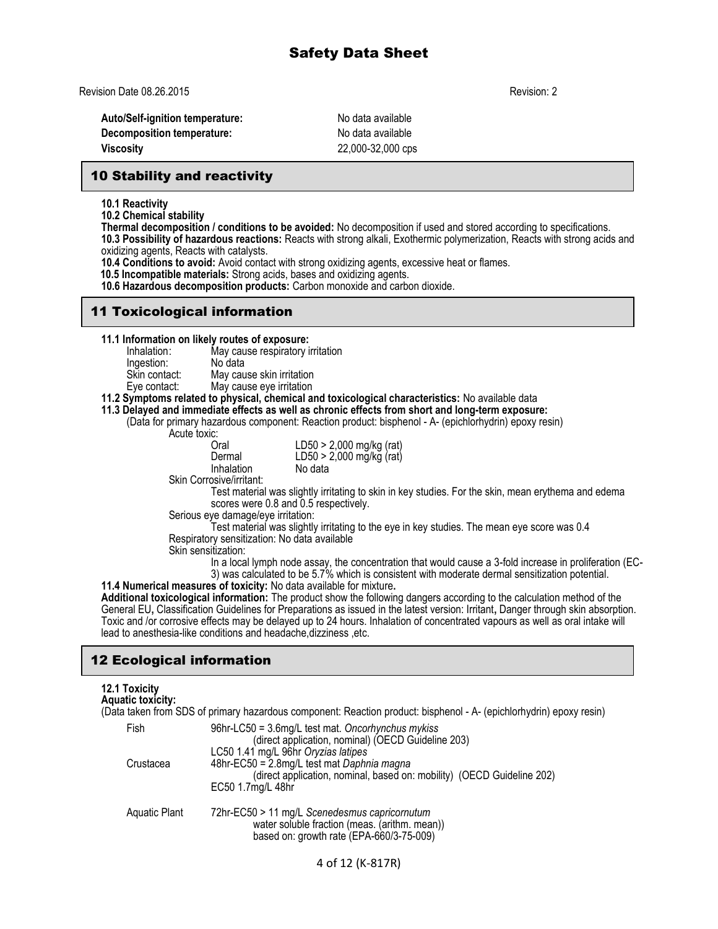Revision Date 08.26.2015 Revision: 2

**Auto/Self-ignition temperature:** No data available **Decomposition temperature:** No data available **Viscosity** 22,000-32,000 cps

# 10 Stability and reactivity

**10.1 Reactivity**

**10.2 Chemical stability**

**Thermal decomposition / conditions to be avoided:** No decomposition if used and stored according to specifications.

**10.3 Possibility of hazardous reactions:** Reacts with strong alkali, Exothermic polymerization, Reacts with strong acids and oxidizing agents, Reacts with catalysts.

**10.4 Conditions to avoid:** Avoid contact with strong oxidizing agents, excessive heat or flames.

 **10.5 Incompatible materials:** Strong acids, bases and oxidizing agents.

**10.6 Hazardous decomposition products:** Carbon monoxide and carbon dioxide.

# 11 Toxicological information

**11.1 Information on likely routes of exposure:**

Inhalation: May cause respiratory irritation Ingestion:<br>Skin contact: May cause skin irritation Eye contact: May cause eye irritation

#### **11.2 Symptoms related to physical, chemical and toxicological characteristics:** No available data

## **11.3 Delayed and immediate effects as well as chronic effects from short and long-term exposure:**

(Data for primary hazardous component: Reaction product: bisphenol - A- (epichlorhydrin) epoxy resin)

Acute toxic:<br>Cral

| . .<br>Oral | LD50 > 2,000 mg/kg (rat) |
|-------------|--------------------------|
| Dermal      | LD50 > 2,000 mg/kg (rat) |
| Inhalation  | No data                  |
|             |                          |

Skin Corrosive/irritant:

Test material was slightly irritating to skin in key studies. For the skin, mean erythema and edema scores were 0.8 and 0.5 respectively.

Serious eye damage/eye irritation:

Test material was slightly irritating to the eye in key studies. The mean eye score was 0.4 Respiratory sensitization: No data available

Skin sensitization:

In a local lymph node assay, the concentration that would cause a 3-fold increase in proliferation (EC-3) was calculated to be 5.7% which is consistent with moderate dermal sensitization potential.

**11.4 Numerical measures of toxicity:** No data available for mixture**. Additional toxicological information:** The product show the following dangers according to the calculation method of the General EU**,** Classification Guidelines for Preparations as issued in the latest version: Irritant**,** Danger through skin absorption. Toxic and /or corrosive effects may be delayed up to 24 hours. Inhalation of concentrated vapours as well as oral intake will lead to anesthesia-like conditions and headache,dizziness ,etc.

# 12 Ecological information

# **12.1 Toxicity Aquatic toxicity:**

(Data taken from SDS of primary hazardous component: Reaction product: bisphenol - A- (epichlorhydrin) epoxy resin) Fish 96hr-LC50 = 3.6mg/L test mat. *Oncorhynchus mykiss* (direct application, nominal) (OECD Guideline 203) LC50 1.41 mg/L 96hr *Oryzias latipes*  Crustacea 48hr-EC50 = 2.8mg/L test mat *Daphnia magna* (direct application, nominal, based on: mobility) (OECD Guideline 202) EC50 1.7mg/L 48hr Aquatic Plant 72hr-EC50 > 11 mg/L *Scenedesmus capricornutum* water soluble fraction (meas. (arithm. mean)) based on: growth rate (EPA-660/3-75-009)

4 of 12 (K-817R)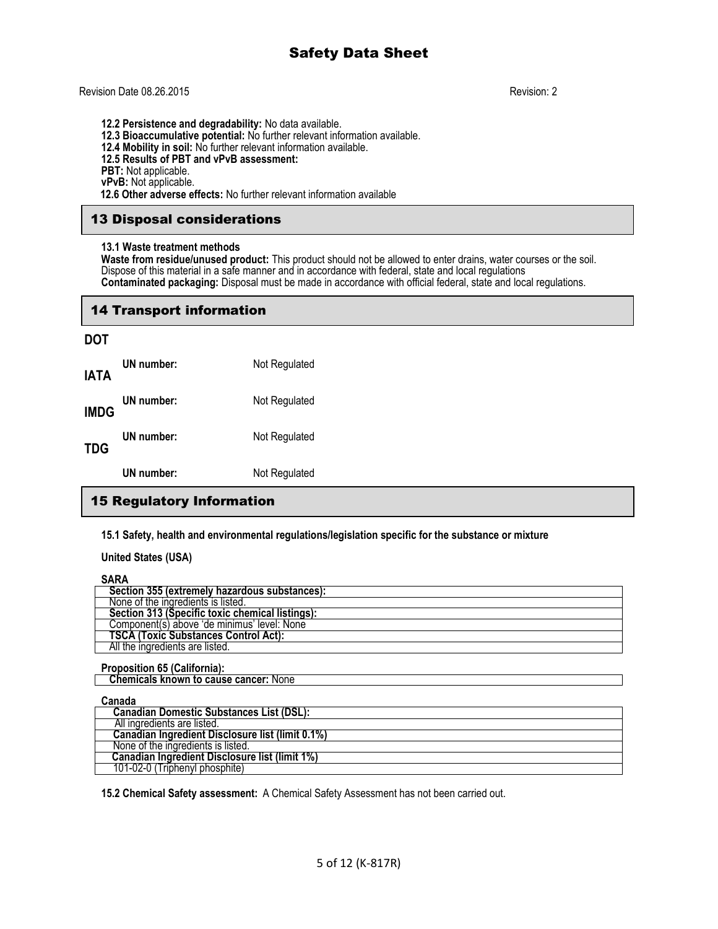### Revision Date 08.26.2015 Revision: 2

**12.2 Persistence and degradability:** No data available.

**12.3 Bioaccumulative potential:** No further relevant information available.

**12.4 Mobility in soil:** No further relevant information available.

**12.5 Results of PBT and vPvB assessment:**

**PBT:** Not applicable.

**vPvB:** Not applicable.

 **12.6 Other adverse effects:** No further relevant information available

# 13 Disposal considerations

#### **13.1 Waste treatment methods**

**Waste from residue/unused product:** This product should not be allowed to enter drains, water courses or the soil. Dispose of this material in a safe manner and in accordance with federal, state and local regulations **Contaminated packaging:** Disposal must be made in accordance with official federal, state and local regulations.

## 14 Transport information

## **DOT**

|      | UN number: | Not Regulated |
|------|------------|---------------|
| TDG  | UN number: | Not Regulated |
| IMDG | UN number: | Not Regulated |
| IATA | UN number: | Not Regulated |

# 15 Regulatory Information

**15.1 Safety, health and environmental regulations/legislation specific for the substance or mixture**

**United States (USA)**

#### **SARA**

| 1111                                            |
|-------------------------------------------------|
| Section 355 (extremely hazardous substances):   |
| None of the ingredients is listed.              |
| Section 313 (Specific toxic chemical listings): |
| Component(s) above 'de minimus' level: None     |
| <b>TSCA (Toxic Substances Control Act):</b>     |
| All the ingredients are listed.                 |

#### **Proposition 65 (California):**

 **Chemicals known to cause cancer:** None

#### **Canada**

| --------                                         |
|--------------------------------------------------|
| <b>Canadian Domestic Substances List (DSL):</b>  |
| All ingredients are listed.                      |
| Canadian Ingredient Disclosure list (limit 0.1%) |
| None of the ingredients is listed.               |
| Canadian Ingredient Disclosure list (limit 1%)   |
| 101-02-0 (Triphenvl phosphite)                   |

**15.2 Chemical Safety assessment:** A Chemical Safety Assessment has not been carried out.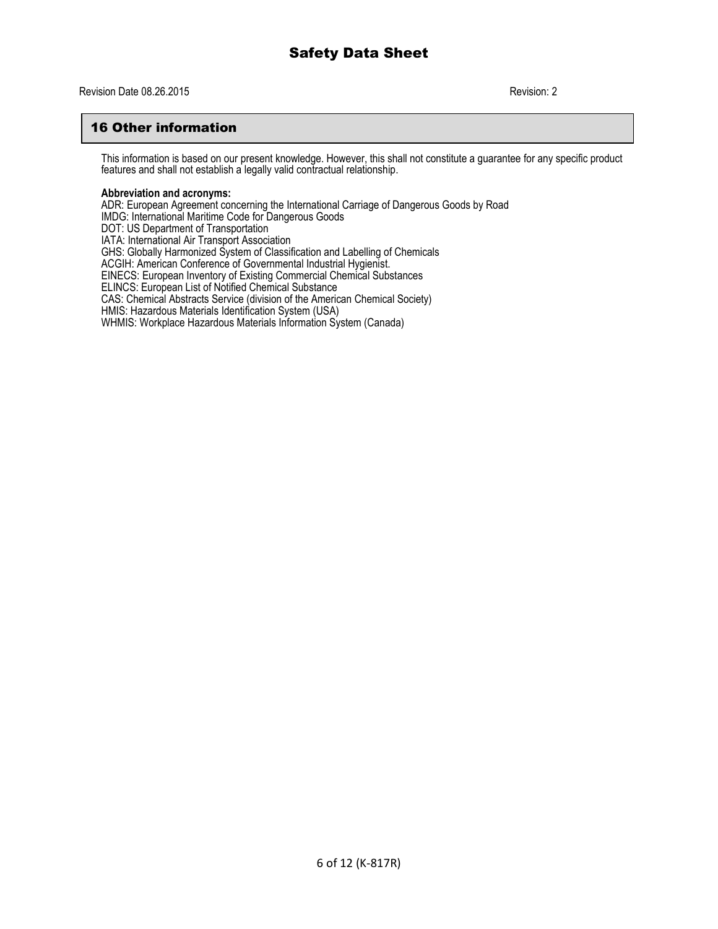# 16 Other information

This information is based on our present knowledge. However, this shall not constitute a guarantee for any specific product features and shall not establish a legally valid contractual relationship.

#### **Abbreviation and acronyms:**

ADR: European Agreement concerning the International Carriage of Dangerous Goods by Road IMDG: International Maritime Code for Dangerous Goods DOT: US Department of Transportation IATA: International Air Transport Association GHS: Globally Harmonized System of Classification and Labelling of Chemicals ACGIH: American Conference of Governmental Industrial Hygienist. EINECS: European Inventory of Existing Commercial Chemical Substances ELINCS: European List of Notified Chemical Substance CAS: Chemical Abstracts Service (division of the American Chemical Society) HMIS: Hazardous Materials Identification System (USA) WHMIS: Workplace Hazardous Materials Information System (Canada)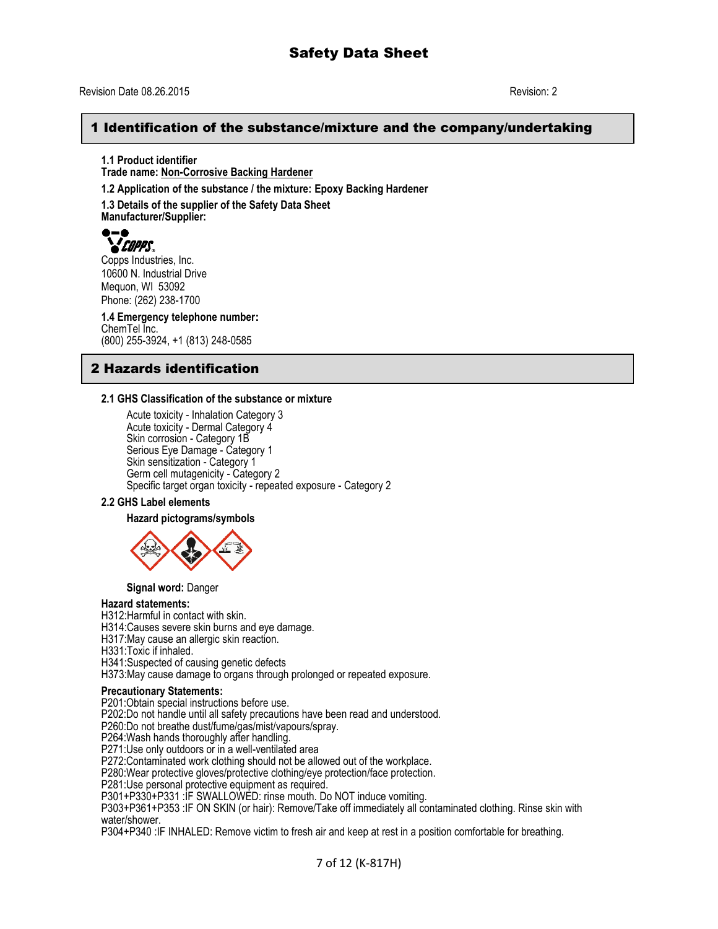#### Revision Date 08.26.2015 Revision: 2

# 1 Identification of the substance/mixture and the company/undertaking

**1.1 Product identifier Trade name: Non-Corrosive Backing Hardener 1.2 Application of the substance / the mixture: Epoxy Backing Hardener**

**1.3 Details of the supplier of the Safety Data Sheet Manufacturer/Supplier:**



Copps Industries, Inc. 10600 N. Industrial Drive Mequon, WI 53092 Phone: (262) 238-1700

**1.4 Emergency telephone number:** ChemTel Inc. (800) 255-3924, +1 (813) 248-0585

# 2 Hazards identification

#### **2.1 GHS Classification of the substance or mixture**

Acute toxicity - Inhalation Category 3 Acute toxicity - Dermal Category 4 Skin corrosion - Category 1B Serious Eye Damage - Category 1 Skin sensitization - Category 1 Germ cell mutagenicity - Category 2 Specific target organ toxicity - repeated exposure - Category 2

### **2.2 GHS Label elements**

**Hazard pictograms/symbols**



**Signal word:** Danger

#### **Hazard statements:**

H312:Harmful in contact with skin.

H314:Causes severe skin burns and eye damage.

H317:May cause an allergic skin reaction.

H331:Toxic if inhaled.

H341:Suspected of causing genetic defects

H373:May cause damage to organs through prolonged or repeated exposure.

#### **Precautionary Statements:**

P201:Obtain special instructions before use.

P202:Do not handle until all safety precautions have been read and understood.

P260:Do not breathe dust/fume/gas/mist/vapours/spray.

P264: Wash hands thoroughly after handling.

P271:Use only outdoors or in a well-ventilated area

P272:Contaminated work clothing should not be allowed out of the workplace.

P280:Wear protective gloves/protective clothing/eye protection/face protection.

P281:Use personal protective equipment as required.

P301+P330+P331 :IF SWALLOWED: rinse mouth. Do NOT induce vomiting.

P303+P361+P353 :IF ON SKIN (or hair): Remove/Take off immediately all contaminated clothing. Rinse skin with water/shower.

P304+P340 :IF INHALED: Remove victim to fresh air and keep at rest in a position comfortable for breathing.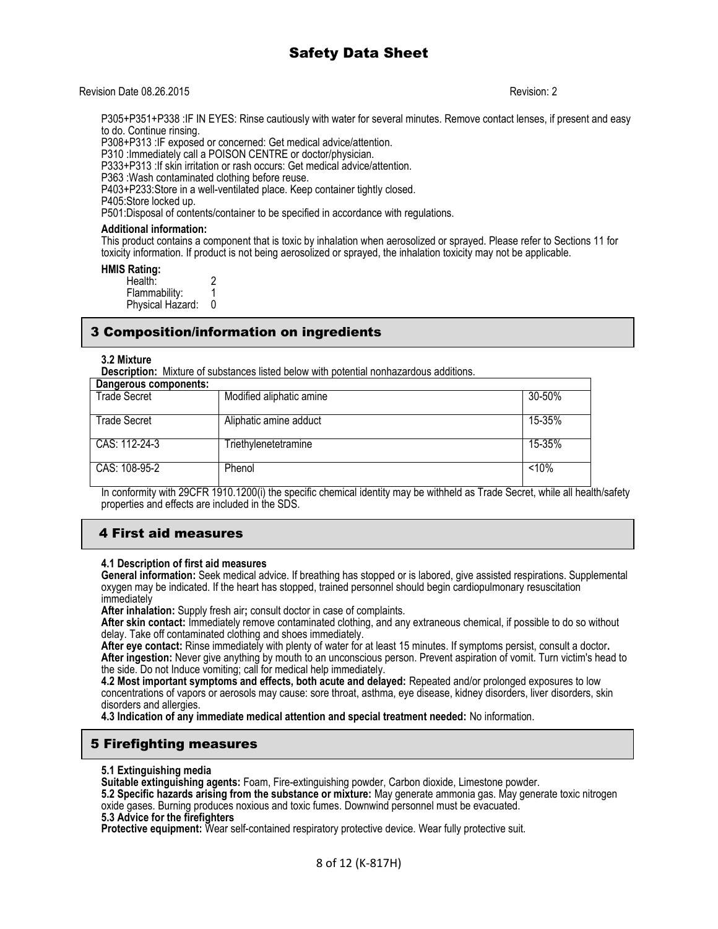#### Revision Date 08.26.2015 Revision: 2

P305+P351+P338 :IF IN EYES: Rinse cautiously with water for several minutes. Remove contact lenses, if present and easy to do. Continue rinsing.

P308+P313 :IF exposed or concerned: Get medical advice/attention.

P310 :Immediately call a POISON CENTRE or doctor/physician.

P333+P313 :If skin irritation or rash occurs: Get medical advice/attention.

P363 :Wash contaminated clothing before reuse.

P403+P233:Store in a well-ventilated place. Keep container tightly closed.

P405:Store locked up.

P501:Disposal of contents/container to be specified in accordance with regulations.

#### **Additional information:**

This product contains a component that is toxic by inhalation when aerosolized or sprayed. Please refer to Sections 11 for toxicity information. If product is not being aerosolized or sprayed, the inhalation toxicity may not be applicable.

**HMIS Rating:** 

Health: 2<br>Flammability: 1 Flammability: 1<br>Physical Hazard: 0 Physical Hazard:

# 3 Composition/information on ingredients

#### **3.2 Mixture**

**Description:** Mixture of substances listed below with potential nonhazardous additions.

| Dangerous components: |                             |        |
|-----------------------|-----------------------------|--------|
| <b>Trade Secret</b>   | Modified aliphatic amine    | 30-50% |
| <b>Trade Secret</b>   | Aliphatic amine adduct      | 15-35% |
| CAS: 112-24-3         | <b>Friethylenetetramine</b> | 15-35% |
| CAS: 108-95-2         | Phenol                      | < 10%  |

In conformity with 29CFR 1910.1200(i) the specific chemical identity may be withheld as Trade Secret, while all health/safety properties and effects are included in the SDS.

# 4 First aid measures

#### **4.1 Description of first aid measures**

**General information:** Seek medical advice. If breathing has stopped or is labored, give assisted respirations. Supplemental oxygen may be indicated. If the heart has stopped, trained personnel should begin cardiopulmonary resuscitation immediately

**After inhalation:** Supply fresh air**;** consult doctor in case of complaints.

**After skin contact:** Immediately remove contaminated clothing, and any extraneous chemical, if possible to do so without delay. Take off contaminated clothing and shoes immediately.

**After eye contact:** Rinse immediately with plenty of water for at least 15 minutes. If symptoms persist, consult a doctor**. After ingestion:** Never give anything by mouth to an unconscious person. Prevent aspiration of vomit. Turn victim's head to the side. Do not Induce vomiting; call for medical help immediately.

**4.2 Most important symptoms and effects, both acute and delayed:** Repeated and/or prolonged exposures to low concentrations of vapors or aerosols may cause: sore throat, asthma, eye disease, kidney disorders, liver disorders, skin disorders and allergies.

**4.3 Indication of any immediate medical attention and special treatment needed:** No information.

# 5 Firefighting measures

**5.1 Extinguishing media**

**Suitable extinguishing agents:** Foam, Fire-extinguishing powder, Carbon dioxide, Limestone powder.

**5.2 Specific hazards arising from the substance or mixture:** May generate ammonia gas. May generate toxic nitrogen oxide gases. Burning produces noxious and toxic fumes. Downwind personnel must be evacuated.

**5.3 Advice for the firefighters**

**Protective equipment:** Wear self-contained respiratory protective device. Wear fully protective suit.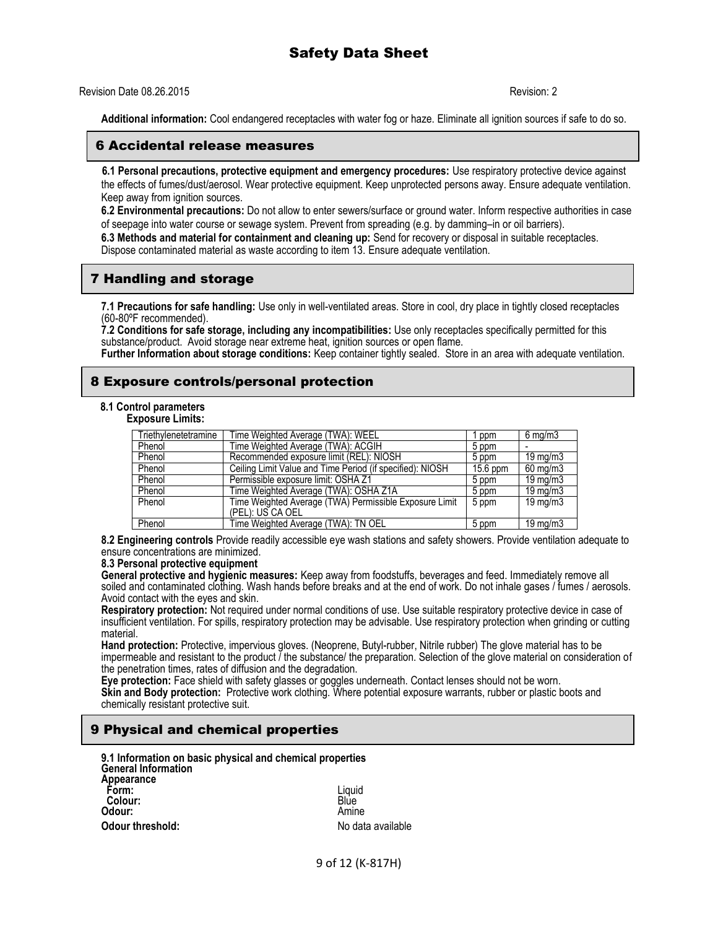### Revision Date 08.26.2015 Revision: 2

**Additional information:** Cool endangered receptacles with water fog or haze. Eliminate all ignition sources if safe to do so.

### 6 Accidental release measures

 **6.1 Personal precautions, protective equipment and emergency procedures:** Use respiratory protective device against the effects of fumes/dust/aerosol. Wear protective equipment. Keep unprotected persons away. Ensure adequate ventilation. Keep away from ignition sources.

**6.2 Environmental precautions:** Do not allow to enter sewers/surface or ground water. Inform respective authorities in case of seepage into water course or sewage system. Prevent from spreading (e.g. by damming–in or oil barriers).

**6.3 Methods and material for containment and cleaning up:** Send for recovery or disposal in suitable receptacles. Dispose contaminated material as waste according to item 13. Ensure adequate ventilation.

# 7 Handling and storage

**7.1 Precautions for safe handling:** Use only in well-ventilated areas. Store in cool, dry place in tightly closed receptacles (60-80ºF recommended).

**7.2 Conditions for safe storage, including any incompatibilities:** Use only receptacles specifically permitted for this substance/product. Avoid storage near extreme heat, ignition sources or open flame.

**Further Information about storage conditions:** Keep container tightly sealed. Store in an area with adequate ventilation.

# 8 Exposure controls/personal protection

# **8.1 Control parameters**

**Exposure Limits:**

| Triethylenetetramine | Time Weighted Average (TWA): WEEL                         | ppm        | $6 \text{ mg/m}$      |
|----------------------|-----------------------------------------------------------|------------|-----------------------|
| Phenol               | Time Weighted Average (TWA): ACGIH                        | 5 ppm      |                       |
| Phenol               | Recommended exposure limit (REL): NIOSH                   | 5 ppm      | $19 \,\mathrm{mq/m3}$ |
| Phenol               | Ceiling Limit Value and Time Period (if specified): NIOSH | $15.6$ ppm | 60 mg/m3              |
| Phenol               | Permissible exposure limit: OSHA Z1                       | 5 ppm      | $19 \,\mathrm{mq/m3}$ |
| Phenol               | Time Weighted Average (TWA): OSHA Z1A                     | 5 ppm      | 19 mg/m3              |
| Phenol               | Time Weighted Average (TWA) Permissible Exposure Limit    | 5 ppm      | 19 mg/m3              |
|                      | (PEL): US CA OEL                                          |            |                       |
| Phenol               | Time Weighted Average (TWA): TN OEL                       | 5 ppm      | 19 mg/m3              |

**8.2 Engineering controls** Provide readily accessible eye wash stations and safety showers. Provide ventilation adequate to ensure concentrations are minimized.

#### **8.3 Personal protective equipment**

**General protective and hygienic measures:** Keep away from foodstuffs, beverages and feed. Immediately remove all soiled and contaminated clothing. Wash hands before breaks and at the end of work. Do not inhale gases / fumes / aerosols. Avoid contact with the eyes and skin.

**Respiratory protection:** Not required under normal conditions of use. Use suitable respiratory protective device in case of insufficient ventilation. For spills, respiratory protection may be advisable. Use respiratory protection when grinding or cutting material.

**Hand protection:** Protective, impervious gloves. (Neoprene, Butyl-rubber, Nitrile rubber) The glove material has to be impermeable and resistant to the product / the substance/ the preparation. Selection of the glove material on consideration of the penetration times, rates of diffusion and the degradation.

**Eye protection:** Face shield with safety glasses or goggles underneath. Contact lenses should not be worn. **Skin and Body protection:** Protective work clothing. Where potential exposure warrants, rubber or plastic boots and chemically resistant protective suit.

# 9 Physical and chemical properties

| 9.1 Information on basic physical and chemical properties |                   |
|-----------------------------------------------------------|-------------------|
| <b>General Information</b>                                |                   |
| Appearance                                                |                   |
| Form:                                                     | Liquid            |
| Colour:                                                   | Blúe              |
| Odour:                                                    | Amine             |
| Odour threshold:                                          | No data available |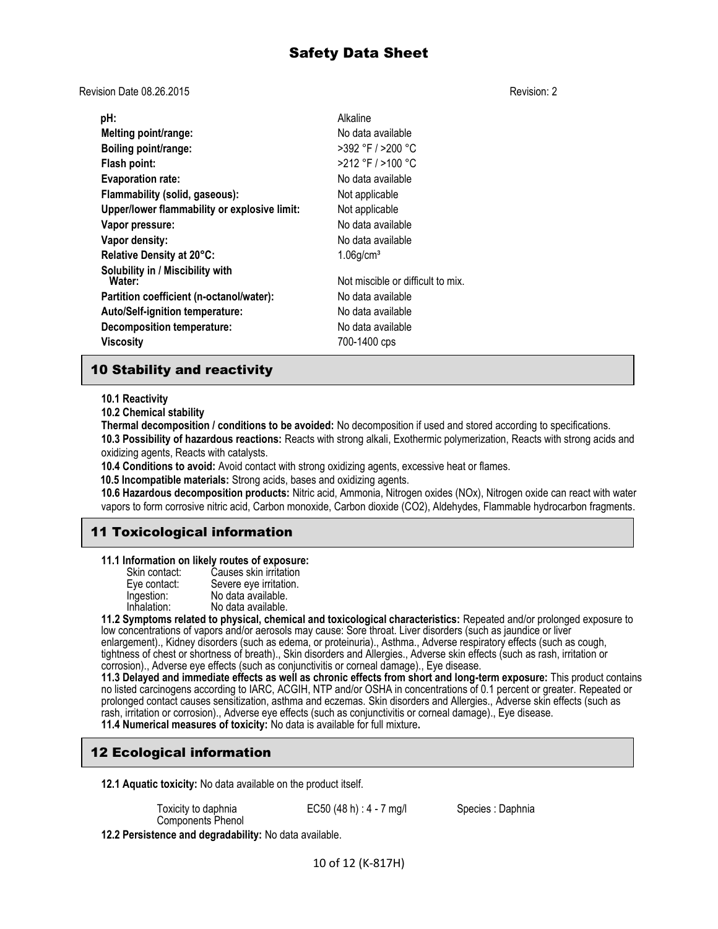Revision Date 08.26.2015 Revision: 2

| pH:                                          | Alkaline                          |
|----------------------------------------------|-----------------------------------|
| Melting point/range:                         | No data available                 |
| Boiling point/range:                         | >392 °F / >200 °C                 |
| Flash point:                                 | $>212$ °F / $>100$ °C             |
| <b>Evaporation rate:</b>                     | No data available                 |
| Flammability (solid, gaseous):               | Not applicable                    |
| Upper/lower flammability or explosive limit: | Not applicable                    |
| Vapor pressure:                              | No data available                 |
| Vapor density:                               | No data available                 |
| Relative Density at 20°C:                    | $1.06$ g/cm <sup>3</sup>          |
| Solubility in / Miscibility with<br>Water:   | Not miscible or difficult to mix. |
| Partition coefficient (n-octanol/water):     | No data available                 |
| Auto/Self-ignition temperature:              | No data available                 |
| <b>Decomposition temperature:</b>            | No data available                 |
| Viscosity                                    | 700-1400 cps                      |

# 10 Stability and reactivity

**10.1 Reactivity**

**10.2 Chemical stability**

**Thermal decomposition / conditions to be avoided:** No decomposition if used and stored according to specifications. **10.3 Possibility of hazardous reactions:** Reacts with strong alkali, Exothermic polymerization, Reacts with strong acids and oxidizing agents, Reacts with catalysts.

**10.4 Conditions to avoid:** Avoid contact with strong oxidizing agents, excessive heat or flames.

 **10.5 Incompatible materials:** Strong acids, bases and oxidizing agents.

**10.6 Hazardous decomposition products:** Nitric acid, Ammonia, Nitrogen oxides (NOx), Nitrogen oxide can react with water vapors to form corrosive nitric acid, Carbon monoxide, Carbon dioxide (CO2), Aldehydes, Flammable hydrocarbon fragments.

# 11 Toxicological information

**11.1 Information on likely routes of exposure:**

| Skin contact: | Causes skin irritation |
|---------------|------------------------|
| Eye contact:  | Severe eye irritation. |
| Ingestion:    | No data available.     |
| Inhalation:   | No data available.     |
|               | .                      |

**11.2 Symptoms related to physical, chemical and toxicological characteristics:** Repeated and/or prolonged exposure to low concentrations of vapors and/or aerosols may cause: Sore throat. Liver disorders (such as jaundice or liver enlargement)., Kidney disorders (such as edema, or proteinuria)., Asthma., Adverse respiratory effects (such as cough, tightness of chest or shortness of breath)., Skin disorders and Allergies., Adverse skin effects (such as rash, irritation or

corrosion)., Adverse eye effects (such as conjunctivitis or corneal damage)., Eye disease. **11.3 Delayed and immediate effects as well as chronic effects from short and long-term exposure:** This product contains no listed carcinogens according to IARC, ACGIH, NTP and/or OSHA in concentrations of 0.1 percent or greater. Repeated or

prolonged contact causes sensitization, asthma and eczemas. Skin disorders and Allergies., Adverse skin effects (such as rash, irritation or corrosion)., Adverse eye effects (such as conjunctivitis or corneal damage)., Eye disease. **11.4 Numerical measures of toxicity:** No data is available for full mixture**.** 

# 12 Ecological information

**12.1 Aquatic toxicity:** No data available on the product itself.

Toxicity to daphnia Components Phenol EC50 (48 h) : 4 - 7 mg/l Species : Daphnia

**12.2 Persistence and degradability:** No data available.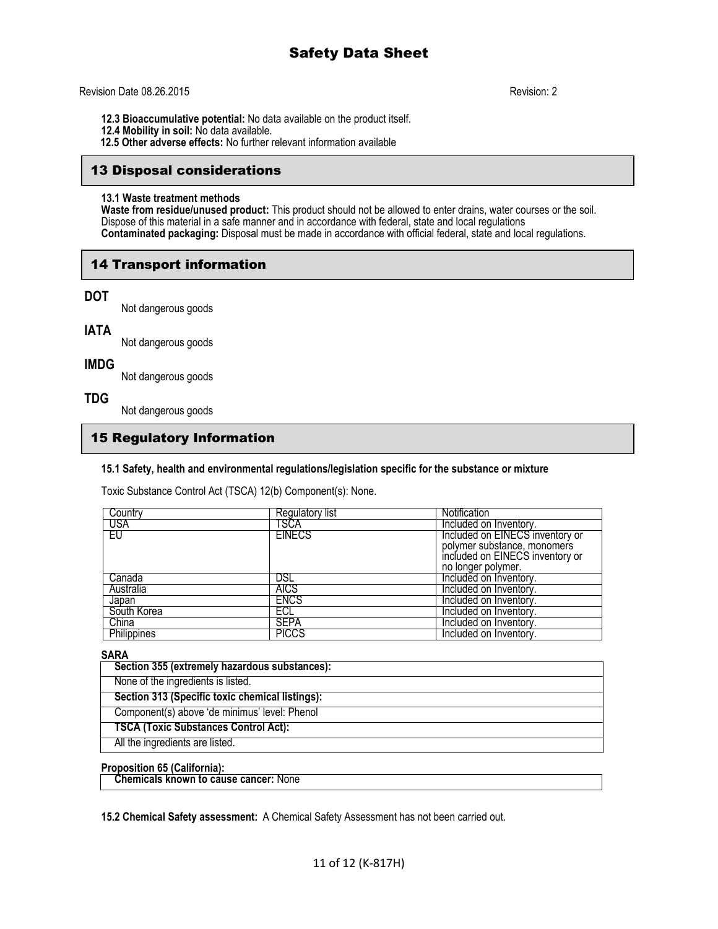### Revision Date 08.26.2015 Revision: 2

- **12.3 Bioaccumulative potential:** No data available on the product itself.
- **12.4 Mobility in soil:** No data available.
- **12.5 Other adverse effects:** No further relevant information available

# 13 Disposal considerations

#### **13.1 Waste treatment methods**

**Waste from residue/unused product:** This product should not be allowed to enter drains, water courses or the soil. Dispose of this material in a safe manner and in accordance with federal, state and local regulations **Contaminated packaging:** Disposal must be made in accordance with official federal, state and local regulations.

# 14 Transport information

# **DOT**

Not dangerous goods

# **IATA**

Not dangerous goods

# **IMDG**

Not dangerous goods

# **TDG**

Not dangerous goods

# 15 Regulatory Information

# **15.1 Safety, health and environmental regulations/legislation specific for the substance or mixture**

Toxic Substance Control Act (TSCA) 12(b) Component(s): None.

| Country     | Regulatory list | <b>Notification</b>             |
|-------------|-----------------|---------------------------------|
| USA         | TSCA            | Included on Inventory.          |
| EU          | <b>EINECS</b>   | Included on EINECS inventory or |
|             |                 | polymer substance, monomers     |
|             |                 | included on EINECS inventory or |
|             |                 | no longer polymer.              |
| Canada      | DSL             | Included on Inventory.          |
| Australia   | <b>AICS</b>     | Included on Inventory.          |
| Japan       | <b>ENCS</b>     | Included on Inventory.          |
| South Korea | ECL             | Included on Inventory.          |
| China       | <b>SEPA</b>     | Included on Inventory.          |
| Philippines | PICCS           | Included on Inventory.          |

## **SARA**

| Section 355 (extremely hazardous substances):   |
|-------------------------------------------------|
| None of the ingredients is listed.              |
| Section 313 (Specific toxic chemical listings): |
| Component(s) above 'de minimus' level: Phenol   |
| <b>TSCA (Toxic Substances Control Act):</b>     |
| All the ingredients are listed.                 |

## **Proposition 65 (California):**

 **Chemicals known to cause cancer:** None

**15.2 Chemical Safety assessment:** A Chemical Safety Assessment has not been carried out.